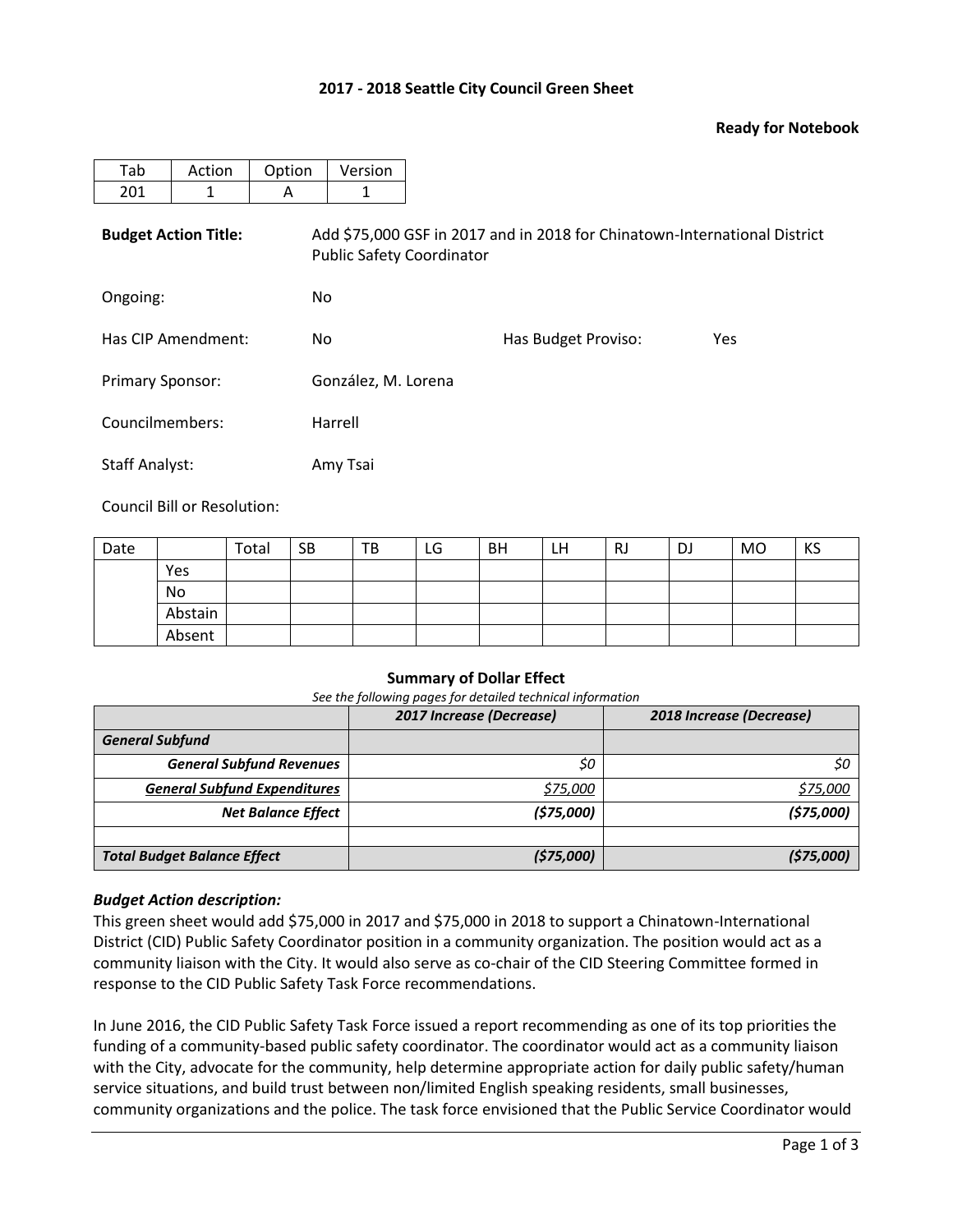## **2017 - 2018 Seattle City Council Green Sheet**

### **Ready for Notebook**

| Tab                         | Action | Option | Version                                                                                                       |                     |     |  |  |  |  |  |
|-----------------------------|--------|--------|---------------------------------------------------------------------------------------------------------------|---------------------|-----|--|--|--|--|--|
| 201                         | 1      | A      | 1                                                                                                             |                     |     |  |  |  |  |  |
| <b>Budget Action Title:</b> |        |        | Add \$75,000 GSF in 2017 and in 2018 for Chinatown-International District<br><b>Public Safety Coordinator</b> |                     |     |  |  |  |  |  |
| Ongoing:                    |        | No.    |                                                                                                               |                     |     |  |  |  |  |  |
| Has CIP Amendment:          |        | No.    |                                                                                                               | Has Budget Proviso: | Yes |  |  |  |  |  |
| <b>Primary Sponsor:</b>     |        |        | González, M. Lorena                                                                                           |                     |     |  |  |  |  |  |
| Councilmembers:             |        |        | Harrell                                                                                                       |                     |     |  |  |  |  |  |
| <b>Staff Analyst:</b>       |        |        | Amy Tsai                                                                                                      |                     |     |  |  |  |  |  |

Council Bill or Resolution:

| Date |         | Total | <b>SB</b> | TB | LG | <b>BH</b> | LH | <b>RJ</b> | <b>DJ</b> | MO | KS |
|------|---------|-------|-----------|----|----|-----------|----|-----------|-----------|----|----|
|      | Yes     |       |           |    |    |           |    |           |           |    |    |
|      | No      |       |           |    |    |           |    |           |           |    |    |
|      | Abstain |       |           |    |    |           |    |           |           |    |    |
|      | Absent  |       |           |    |    |           |    |           |           |    |    |

#### **Summary of Dollar Effect**

*See the following pages for detailed technical information*

|                                     | 2017 Increase (Decrease) | 2018 Increase (Decrease) |
|-------------------------------------|--------------------------|--------------------------|
| <b>General Subfund</b>              |                          |                          |
| <b>General Subfund Revenues</b>     | \$0                      | \$0                      |
| <b>General Subfund Expenditures</b> | \$75,000                 | \$75,000                 |
| <b>Net Balance Effect</b>           | (575,000)                | (575,000)                |
|                                     |                          |                          |
| <b>Total Budget Balance Effect</b>  | (575,000)                | (575,000)                |

#### *Budget Action description:*

This green sheet would add \$75,000 in 2017 and \$75,000 in 2018 to support a Chinatown-International District (CID) Public Safety Coordinator position in a community organization. The position would act as a community liaison with the City. It would also serve as co-chair of the CID Steering Committee formed in response to the CID Public Safety Task Force recommendations.

In June 2016, the CID Public Safety Task Force issued a report recommending as one of its top priorities the funding of a community-based public safety coordinator. The coordinator would act as a community liaison with the City, advocate for the community, help determine appropriate action for daily public safety/human service situations, and build trust between non/limited English speaking residents, small businesses, community organizations and the police. The task force envisioned that the Public Service Coordinator would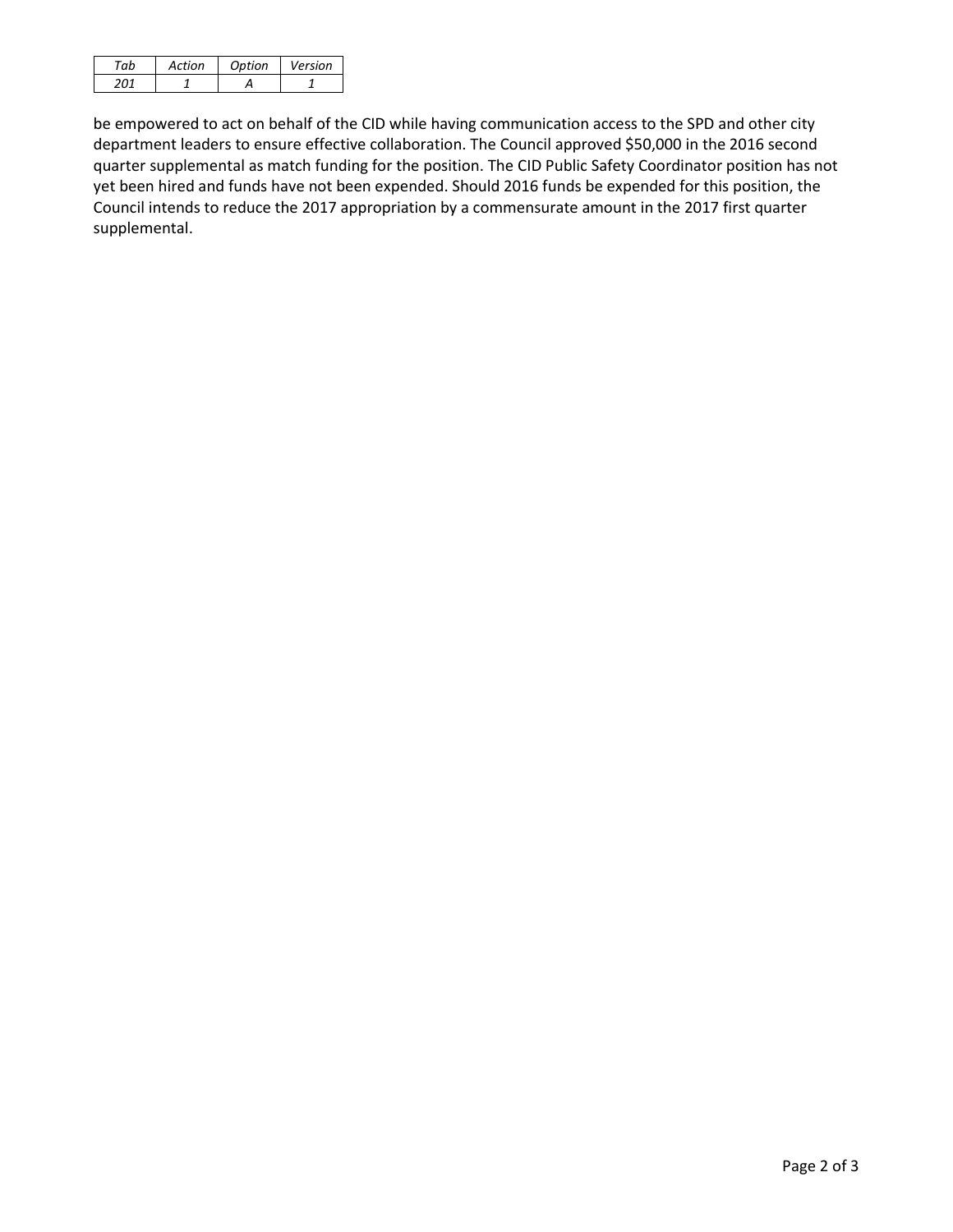| $\negth$ | Action | Ontion | Version |
|----------|--------|--------|---------|
|          |        |        |         |

be empowered to act on behalf of the CID while having communication access to the SPD and other city department leaders to ensure effective collaboration. The Council approved \$50,000 in the 2016 second quarter supplemental as match funding for the position. The CID Public Safety Coordinator position has not yet been hired and funds have not been expended. Should 2016 funds be expended for this position, the Council intends to reduce the 2017 appropriation by a commensurate amount in the 2017 first quarter supplemental.